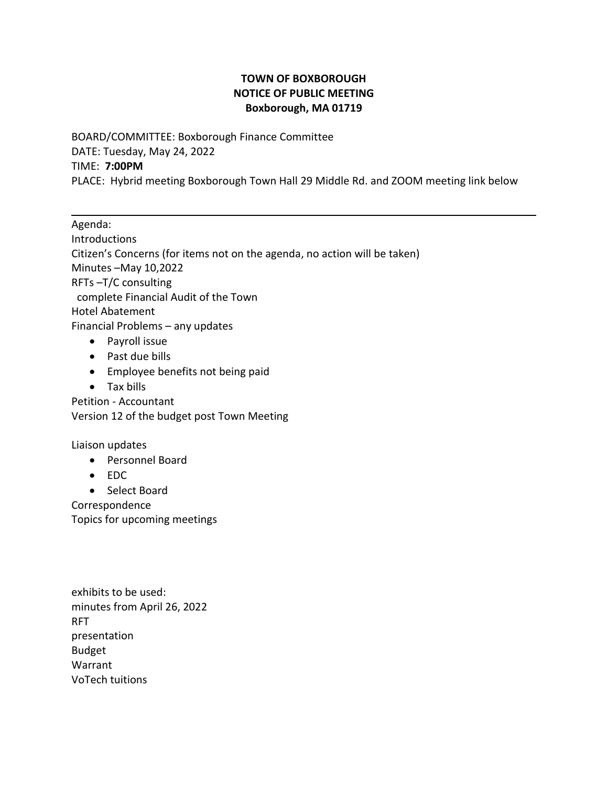## **TOWN OF BOXBOROUGH NOTICE OF PUBLIC MEETING Boxborough, MA 01719**

BOARD/COMMITTEE: Boxborough Finance Committee DATE: Tuesday, May 24, 2022 TIME: **7:00PM** PLACE: Hybrid meeting Boxborough Town Hall 29 Middle Rd. and ZOOM meeting link below

Agenda: Introductions Citizen's Concerns (for items not on the agenda, no action will be taken) Minutes –May 10,2022 RFTs –T/C consulting complete Financial Audit of the Town Hotel Abatement Financial Problems – any updates • Payroll issue • Past due bills

- Employee benefits not being paid
- Tax bills

Petition - Accountant Version 12 of the budget post Town Meeting

Liaison updates

- Personnel Board
- EDC
- Select Board

Correspondence Topics for upcoming meetings

exhibits to be used: minutes from April 26, 2022 RFT presentation Budget Warrant VoTech tuitions